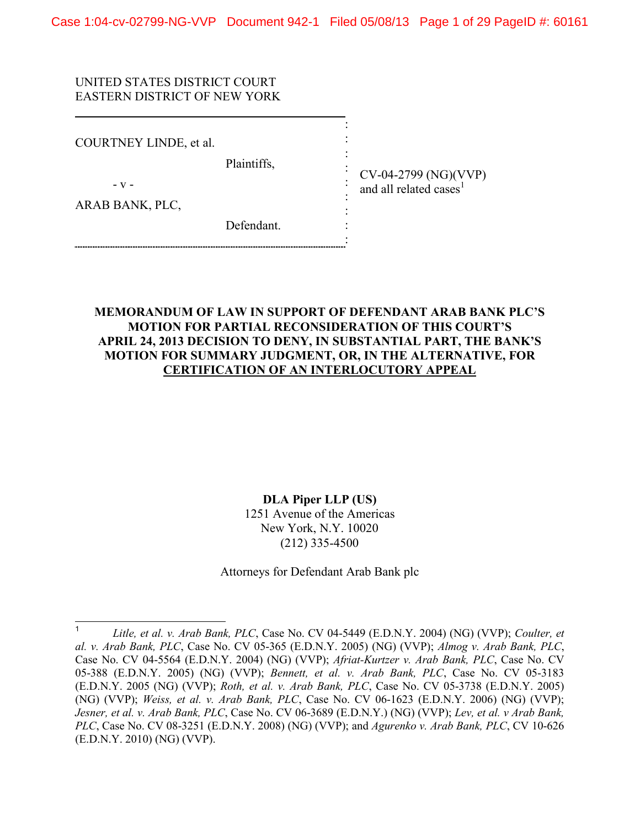: : : : : : : : :

### UNITED STATES DISTRICT COURT EASTERN DISTRICT OF NEW YORK

COURTNEY LINDE, et al.

Plaintiffs,

- v -

ARAB BANK, PLC,

CV-04-2799 (NG)(VVP) and all related cases<sup>1</sup>

Defendant.

### **MEMORANDUM OF LAW IN SUPPORT OF DEFENDANT ARAB BANK PLC'S MOTION FOR PARTIAL RECONSIDERATION OF THIS COURT'S APRIL 24, 2013 DECISION TO DENY, IN SUBSTANTIAL PART, THE BANK'S MOTION FOR SUMMARY JUDGMENT, OR, IN THE ALTERNATIVE, FOR CERTIFICATION OF AN INTERLOCUTORY APPEAL**

### **DLA Piper LLP (US)**

1251 Avenue of the Americas New York, N.Y. 10020 (212) 335-4500

Attorneys for Defendant Arab Bank plc

<sup>1</sup> *Litle, et al. v. Arab Bank, PLC*, Case No. CV 04-5449 (E.D.N.Y. 2004) (NG) (VVP); *Coulter, et al. v. Arab Bank, PLC*, Case No. CV 05-365 (E.D.N.Y. 2005) (NG) (VVP); *Almog v. Arab Bank, PLC*, Case No. CV 04-5564 (E.D.N.Y. 2004) (NG) (VVP); *Afriat-Kurtzer v. Arab Bank, PLC*, Case No. CV 05-388 (E.D.N.Y. 2005) (NG) (VVP); *Bennett, et al. v. Arab Bank, PLC*, Case No. CV 05-3183 (E.D.N.Y. 2005 (NG) (VVP); *Roth, et al. v. Arab Bank, PLC*, Case No. CV 05-3738 (E.D.N.Y. 2005) (NG) (VVP); *Weiss, et al. v. Arab Bank, PLC*, Case No. CV 06-1623 (E.D.N.Y. 2006) (NG) (VVP); *Jesner, et al. v. Arab Bank, PLC*, Case No. CV 06-3689 (E.D.N.Y.) (NG) (VVP); *Lev, et al. v Arab Bank, PLC*, Case No. CV 08-3251 (E.D.N.Y. 2008) (NG) (VVP); and *Agurenko v. Arab Bank, PLC*, CV 10-626 (E.D.N.Y. 2010) (NG) (VVP).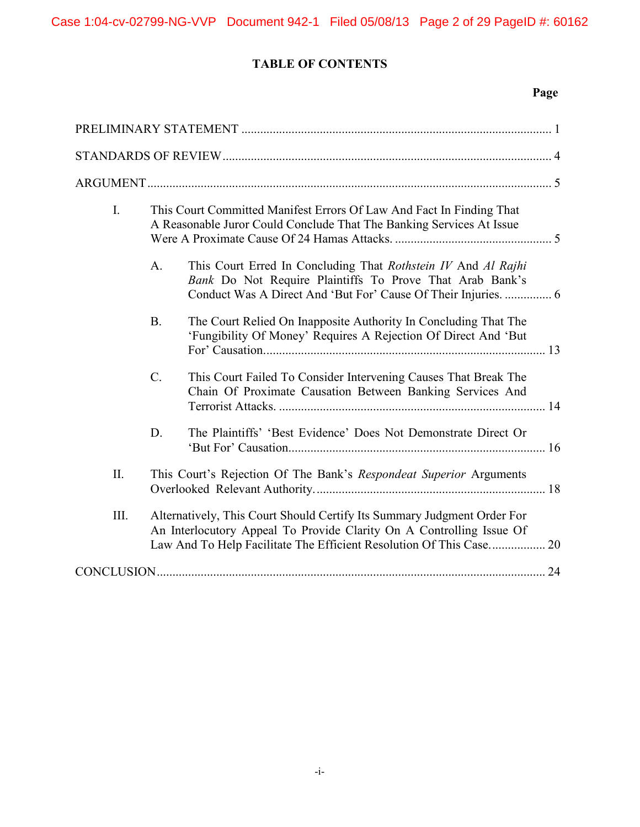# **TABLE OF CONTENTS**

# **Page**

| I.      | This Court Committed Manifest Errors Of Law And Fact In Finding That<br>A Reasonable Juror Could Conclude That The Banking Services At Issue                                                                           |                                                                                                                                   |  |
|---------|------------------------------------------------------------------------------------------------------------------------------------------------------------------------------------------------------------------------|-----------------------------------------------------------------------------------------------------------------------------------|--|
|         | A <sub>1</sub>                                                                                                                                                                                                         | This Court Erred In Concluding That Rothstein IV And Al Rajhi<br>Bank Do Not Require Plaintiffs To Prove That Arab Bank's         |  |
|         | <b>B.</b>                                                                                                                                                                                                              | The Court Relied On Inapposite Authority In Concluding That The<br>'Fungibility Of Money' Requires A Rejection Of Direct And 'But |  |
|         | $\mathcal{C}$ .                                                                                                                                                                                                        | This Court Failed To Consider Intervening Causes That Break The<br>Chain Of Proximate Causation Between Banking Services And      |  |
|         | D.                                                                                                                                                                                                                     | The Plaintiffs' 'Best Evidence' Does Not Demonstrate Direct Or                                                                    |  |
| $\prod$ |                                                                                                                                                                                                                        | This Court's Rejection Of The Bank's Respondeat Superior Arguments                                                                |  |
| Ш.      | Alternatively, This Court Should Certify Its Summary Judgment Order For<br>An Interlocutory Appeal To Provide Clarity On A Controlling Issue Of<br>Law And To Help Facilitate The Efficient Resolution Of This Case 20 |                                                                                                                                   |  |
|         |                                                                                                                                                                                                                        |                                                                                                                                   |  |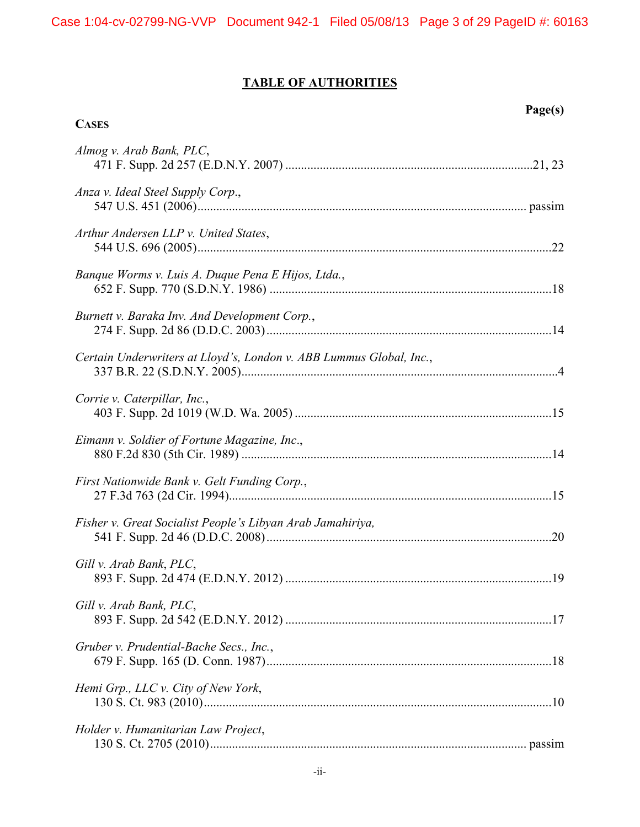# **TABLE OF AUTHORITIES**

**Page(s)**

| <b>CASES</b>                                                        |  |
|---------------------------------------------------------------------|--|
| Almog v. Arab Bank, PLC,                                            |  |
| Anza v. Ideal Steel Supply Corp.,                                   |  |
| Arthur Andersen LLP v. United States,                               |  |
| Banque Worms v. Luis A. Duque Pena E Hijos, Ltda.,                  |  |
| Burnett v. Baraka Inv. And Development Corp.,                       |  |
| Certain Underwriters at Lloyd's, London v. ABB Lummus Global, Inc., |  |
| Corrie v. Caterpillar, Inc.,                                        |  |
| Eimann v. Soldier of Fortune Magazine, Inc.,                        |  |
| First Nationwide Bank v. Gelt Funding Corp.,                        |  |
| Fisher v. Great Socialist People's Libyan Arab Jamahiriya,          |  |
| Gill v. Arab Bank, PLC,                                             |  |
| Gill v. Arab Bank, PLC,                                             |  |
| Gruber v. Prudential-Bache Secs., Inc.,                             |  |
| Hemi Grp., LLC v. City of New York,                                 |  |
| Holder v. Humanitarian Law Project,                                 |  |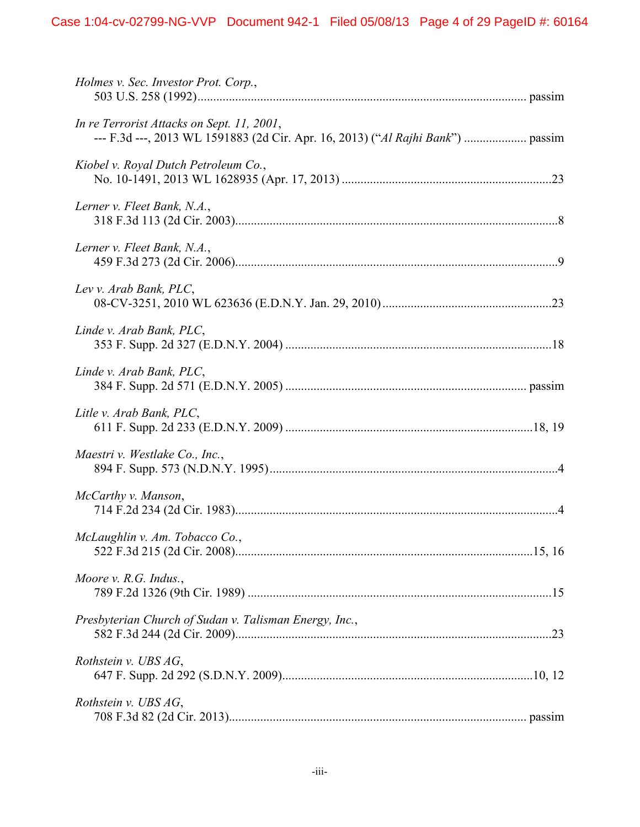| Holmes v. Sec. Investor Prot. Corp.,                                                                                          |  |
|-------------------------------------------------------------------------------------------------------------------------------|--|
| In re Terrorist Attacks on Sept. 11, 2001,<br>--- F.3d ---, 2013 WL 1591883 (2d Cir. Apr. 16, 2013) ("Al Rajhi Bank")  passim |  |
| Kiobel v. Royal Dutch Petroleum Co.,                                                                                          |  |
| Lerner v. Fleet Bank, N.A.,                                                                                                   |  |
| Lerner v. Fleet Bank, N.A.,                                                                                                   |  |
| Lev v. Arab Bank, PLC,                                                                                                        |  |
| Linde v. Arab Bank, PLC,                                                                                                      |  |
| Linde v. Arab Bank, PLC,                                                                                                      |  |
| Litle v. Arab Bank, PLC,                                                                                                      |  |
| Maestri v. Westlake Co., Inc.,                                                                                                |  |
| McCarthy v. Manson,                                                                                                           |  |
| McLaughlin v. Am. Tobacco Co.,                                                                                                |  |
| Moore v. R.G. Indus.,                                                                                                         |  |
| Presbyterian Church of Sudan v. Talisman Energy, Inc.,                                                                        |  |
| Rothstein v. UBS AG,                                                                                                          |  |
| Rothstein v. UBS AG,                                                                                                          |  |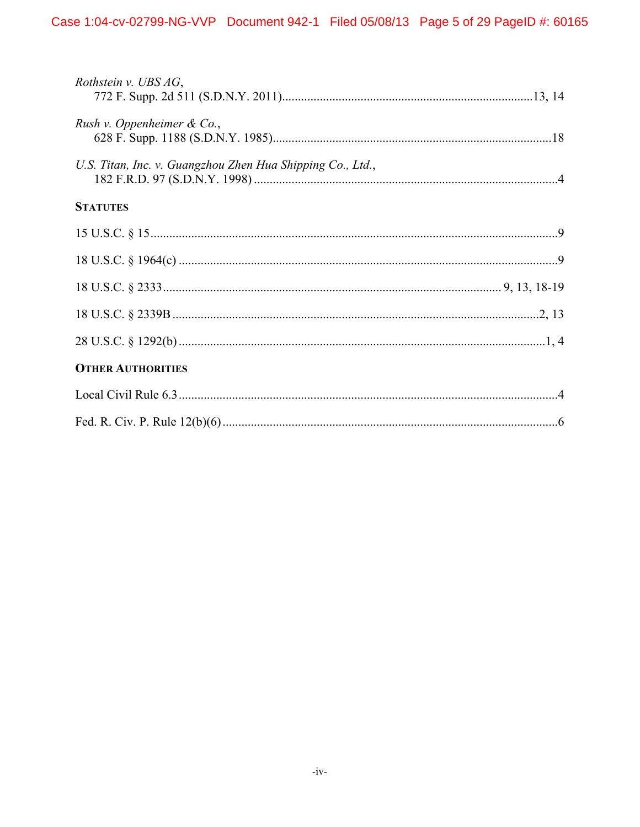| Rothstein v. UBS $AG$ ,                                    |  |
|------------------------------------------------------------|--|
| Rush v. Oppenheimer & Co.,                                 |  |
| U.S. Titan, Inc. v. Guangzhou Zhen Hua Shipping Co., Ltd., |  |
| <b>STATUTES</b>                                            |  |
|                                                            |  |
|                                                            |  |
|                                                            |  |
|                                                            |  |
|                                                            |  |
| <b>OTHER AUTHORITIES</b>                                   |  |
|                                                            |  |
|                                                            |  |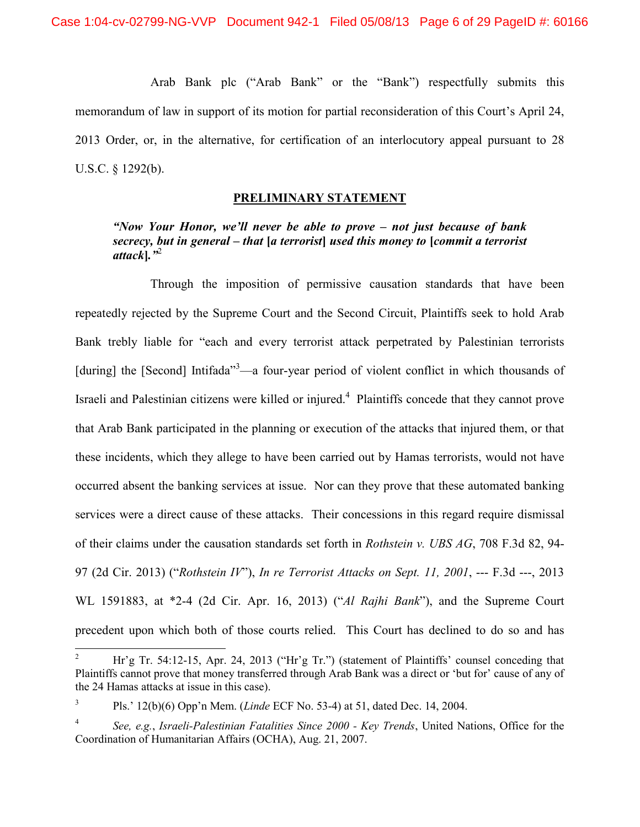Arab Bank plc ("Arab Bank" or the "Bank") respectfully submits this memorandum of law in support of its motion for partial reconsideration of this Court's April 24, 2013 Order, or, in the alternative, for certification of an interlocutory appeal pursuant to 28 U.S.C. § 1292(b).

### **PRELIMINARY STATEMENT**

*"Now Your Honor, we'll never be able to prove – not just because of bank secrecy, but in general – that* **[***a terrorist***]** *used this money to* **[***commit a terrorist attack***]***."*<sup>2</sup>

Through the imposition of permissive causation standards that have been repeatedly rejected by the Supreme Court and the Second Circuit, Plaintiffs seek to hold Arab Bank trebly liable for "each and every terrorist attack perpetrated by Palestinian terrorists [during] the [Second] Intifada<sup>33</sup>—a four-year period of violent conflict in which thousands of Israeli and Palestinian citizens were killed or injured.<sup>4</sup> Plaintiffs concede that they cannot prove that Arab Bank participated in the planning or execution of the attacks that injured them, or that these incidents, which they allege to have been carried out by Hamas terrorists, would not have occurred absent the banking services at issue. Nor can they prove that these automated banking services were a direct cause of these attacks. Their concessions in this regard require dismissal of their claims under the causation standards set forth in *Rothstein v. UBS AG*, 708 F.3d 82, 94- 97 (2d Cir. 2013) ("*Rothstein IV*"), *In re Terrorist Attacks on Sept. 11, 2001*, --- F.3d ---, 2013 WL 1591883, at \*2-4 (2d Cir. Apr. 16, 2013) ("*Al Rajhi Bank*"), and the Supreme Court precedent upon which both of those courts relied. This Court has declined to do so and has

<sup>2</sup> Hr'g Tr. 54:12-15, Apr. 24, 2013 ("Hr'g Tr.") (statement of Plaintiffs' counsel conceding that Plaintiffs cannot prove that money transferred through Arab Bank was a direct or 'but for' cause of any of the 24 Hamas attacks at issue in this case).

<sup>3</sup> Pls.' 12(b)(6) Opp'n Mem. (*Linde* ECF No. 53-4) at 51, dated Dec. 14, 2004.

<sup>4</sup> *See, e.g.*, *Israeli-Palestinian Fatalities Since 2000 - Key Trends*, United Nations, Office for the Coordination of Humanitarian Affairs (OCHA), Aug. 21, 2007.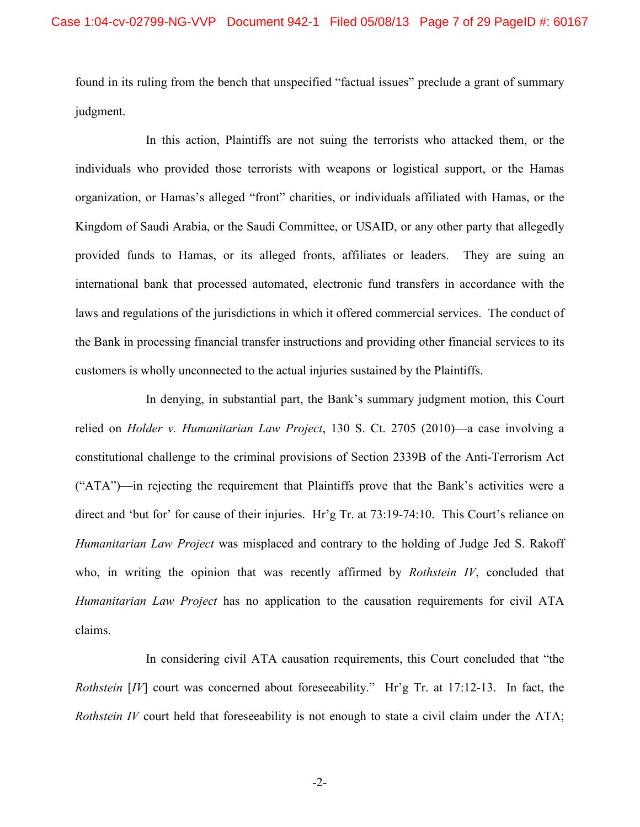found in its ruling from the bench that unspecified "factual issues" preclude a grant of summary judgment.

In this action, Plaintiffs are not suing the terrorists who attacked them, or the individuals who provided those terrorists with weapons or logistical support, or the Hamas organization, or Hamas's alleged "front" charities, or individuals affiliated with Hamas, or the Kingdom of Saudi Arabia, or the Saudi Committee, or USAID, or any other party that allegedly provided funds to Hamas, or its alleged fronts, affiliates or leaders. They are suing an international bank that processed automated, electronic fund transfers in accordance with the laws and regulations of the jurisdictions in which it offered commercial services. The conduct of the Bank in processing financial transfer instructions and providing other financial services to its customers is wholly unconnected to the actual injuries sustained by the Plaintiffs.

In denying, in substantial part, the Bank's summary judgment motion, this Court relied on *Holder v. Humanitarian Law Project*, 130 S. Ct. 2705 (2010)—a case involving a constitutional challenge to the criminal provisions of Section 2339B of the Anti-Terrorism Act ("ATA")—in rejecting the requirement that Plaintiffs prove that the Bank's activities were a direct and 'but for' for cause of their injuries. Hr'g Tr. at 73:19-74:10. This Court's reliance on *Humanitarian Law Project* was misplaced and contrary to the holding of Judge Jed S. Rakoff who, in writing the opinion that was recently affirmed by *Rothstein IV*, concluded that *Humanitarian Law Project* has no application to the causation requirements for civil ATA claims.

In considering civil ATA causation requirements, this Court concluded that "the *Rothstein* [*IV*] court was concerned about foreseeability." Hr'g Tr. at 17:12-13. In fact, the *Rothstein IV* court held that foreseeability is not enough to state a civil claim under the ATA;

-2-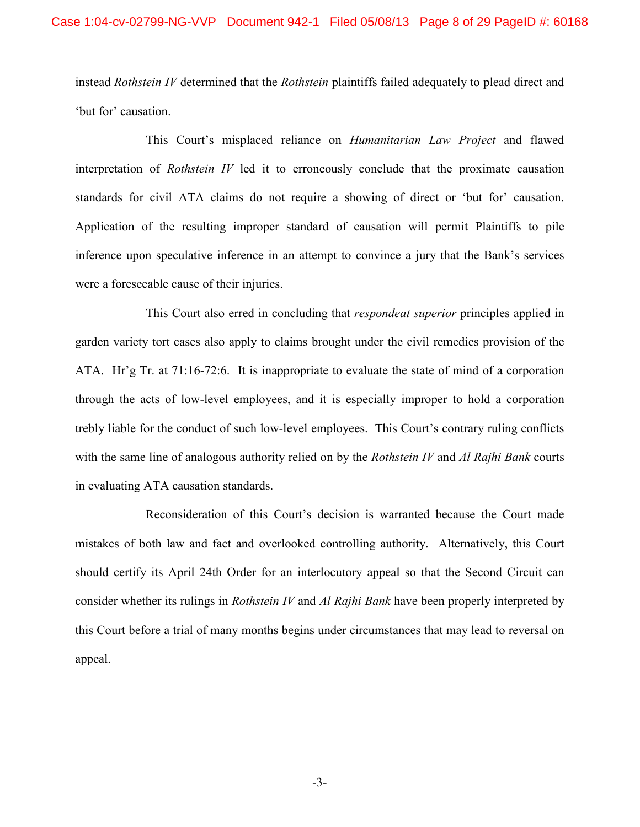instead *Rothstein IV* determined that the *Rothstein* plaintiffs failed adequately to plead direct and 'but for' causation.

This Court's misplaced reliance on *Humanitarian Law Project* and flawed interpretation of *Rothstein IV* led it to erroneously conclude that the proximate causation standards for civil ATA claims do not require a showing of direct or 'but for' causation. Application of the resulting improper standard of causation will permit Plaintiffs to pile inference upon speculative inference in an attempt to convince a jury that the Bank's services were a foreseeable cause of their injuries.

This Court also erred in concluding that *respondeat superior* principles applied in garden variety tort cases also apply to claims brought under the civil remedies provision of the ATA. Hr'g Tr. at 71:16-72:6. It is inappropriate to evaluate the state of mind of a corporation through the acts of low-level employees, and it is especially improper to hold a corporation trebly liable for the conduct of such low-level employees. This Court's contrary ruling conflicts with the same line of analogous authority relied on by the *Rothstein IV* and *Al Rajhi Bank* courts in evaluating ATA causation standards.

Reconsideration of this Court's decision is warranted because the Court made mistakes of both law and fact and overlooked controlling authority. Alternatively, this Court should certify its April 24th Order for an interlocutory appeal so that the Second Circuit can consider whether its rulings in *Rothstein IV* and *Al Rajhi Bank* have been properly interpreted by this Court before a trial of many months begins under circumstances that may lead to reversal on appeal.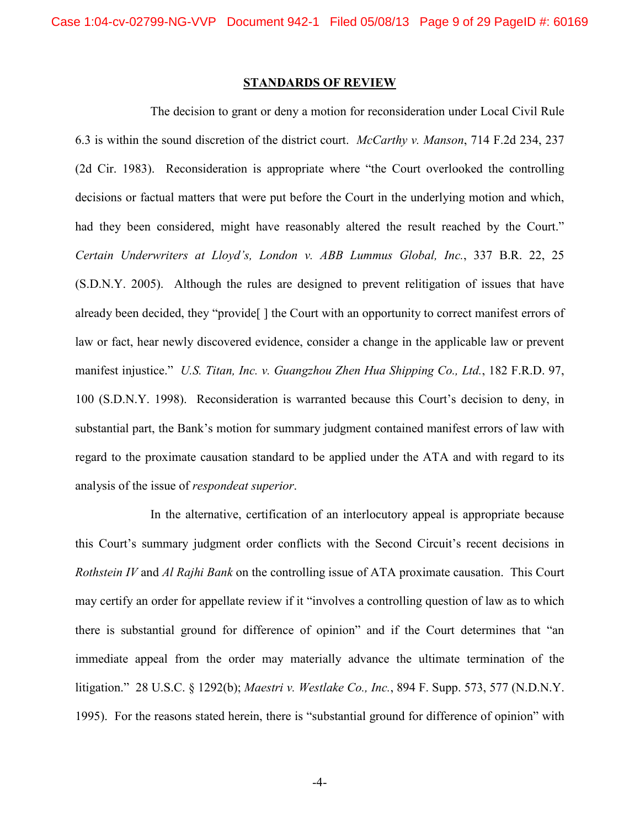#### **STANDARDS OF REVIEW**

The decision to grant or deny a motion for reconsideration under Local Civil Rule 6.3 is within the sound discretion of the district court. *McCarthy v. Manson*, 714 F.2d 234, 237 (2d Cir. 1983). Reconsideration is appropriate where "the Court overlooked the controlling decisions or factual matters that were put before the Court in the underlying motion and which, had they been considered, might have reasonably altered the result reached by the Court." *Certain Underwriters at Lloyd's, London v. ABB Lummus Global, Inc.*, 337 B.R. 22, 25 (S.D.N.Y. 2005). Although the rules are designed to prevent relitigation of issues that have already been decided, they "provide[ ] the Court with an opportunity to correct manifest errors of law or fact, hear newly discovered evidence, consider a change in the applicable law or prevent manifest injustice." *U.S. Titan, Inc. v. Guangzhou Zhen Hua Shipping Co., Ltd.*, 182 F.R.D. 97, 100 (S.D.N.Y. 1998). Reconsideration is warranted because this Court's decision to deny, in substantial part, the Bank's motion for summary judgment contained manifest errors of law with regard to the proximate causation standard to be applied under the ATA and with regard to its analysis of the issue of *respondeat superior*.

In the alternative, certification of an interlocutory appeal is appropriate because this Court's summary judgment order conflicts with the Second Circuit's recent decisions in *Rothstein IV* and *Al Rajhi Bank* on the controlling issue of ATA proximate causation. This Court may certify an order for appellate review if it "involves a controlling question of law as to which there is substantial ground for difference of opinion" and if the Court determines that "an immediate appeal from the order may materially advance the ultimate termination of the litigation." 28 U.S.C. § 1292(b); *Maestri v. Westlake Co., Inc.*, 894 F. Supp. 573, 577 (N.D.N.Y. 1995). For the reasons stated herein, there is "substantial ground for difference of opinion" with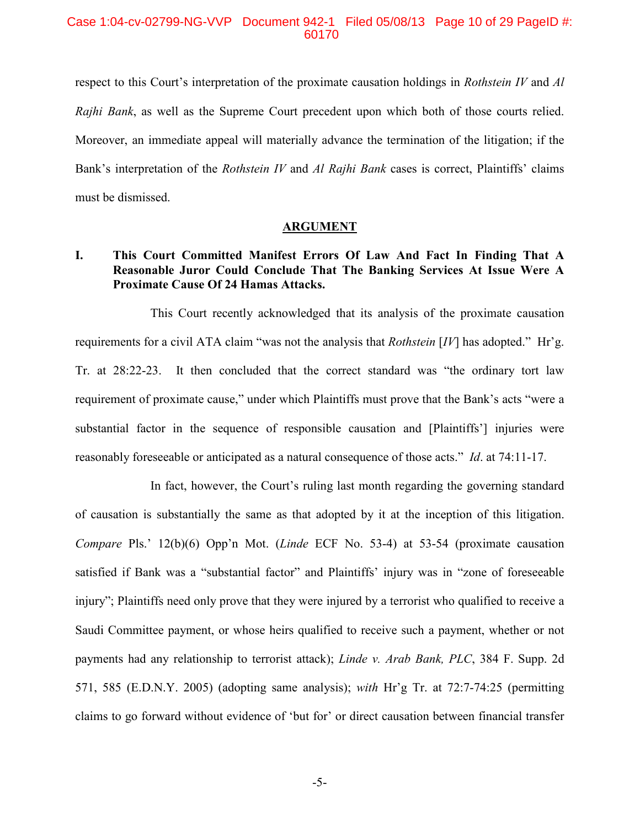Case 1:04-cv-02799-NG-VVP Document 942-1 Filed 05/08/13 Page 10 of 29 PageID #: 60170

respect to this Court's interpretation of the proximate causation holdings in *Rothstein IV* and *Al Rajhi Bank*, as well as the Supreme Court precedent upon which both of those courts relied. Moreover, an immediate appeal will materially advance the termination of the litigation; if the Bank's interpretation of the *Rothstein IV* and *Al Rajhi Bank* cases is correct, Plaintiffs' claims must be dismissed.

#### **ARGUMENT**

### **I. This Court Committed Manifest Errors Of Law And Fact In Finding That A Reasonable Juror Could Conclude That The Banking Services At Issue Were A Proximate Cause Of 24 Hamas Attacks.**

This Court recently acknowledged that its analysis of the proximate causation requirements for a civil ATA claim "was not the analysis that *Rothstein* [*IV*] has adopted." Hr'g. Tr. at 28:22-23. It then concluded that the correct standard was "the ordinary tort law requirement of proximate cause," under which Plaintiffs must prove that the Bank's acts "were a substantial factor in the sequence of responsible causation and [Plaintiffs'] injuries were reasonably foreseeable or anticipated as a natural consequence of those acts." *Id*. at 74:11-17.

In fact, however, the Court's ruling last month regarding the governing standard of causation is substantially the same as that adopted by it at the inception of this litigation. *Compare* Pls.' 12(b)(6) Opp'n Mot. (*Linde* ECF No. 53-4) at 53-54 (proximate causation satisfied if Bank was a "substantial factor" and Plaintiffs' injury was in "zone of foreseeable injury"; Plaintiffs need only prove that they were injured by a terrorist who qualified to receive a Saudi Committee payment, or whose heirs qualified to receive such a payment, whether or not payments had any relationship to terrorist attack); *Linde v. Arab Bank, PLC*, 384 F. Supp. 2d 571, 585 (E.D.N.Y. 2005) (adopting same analysis); *with* Hr'g Tr. at 72:7-74:25 (permitting claims to go forward without evidence of 'but for' or direct causation between financial transfer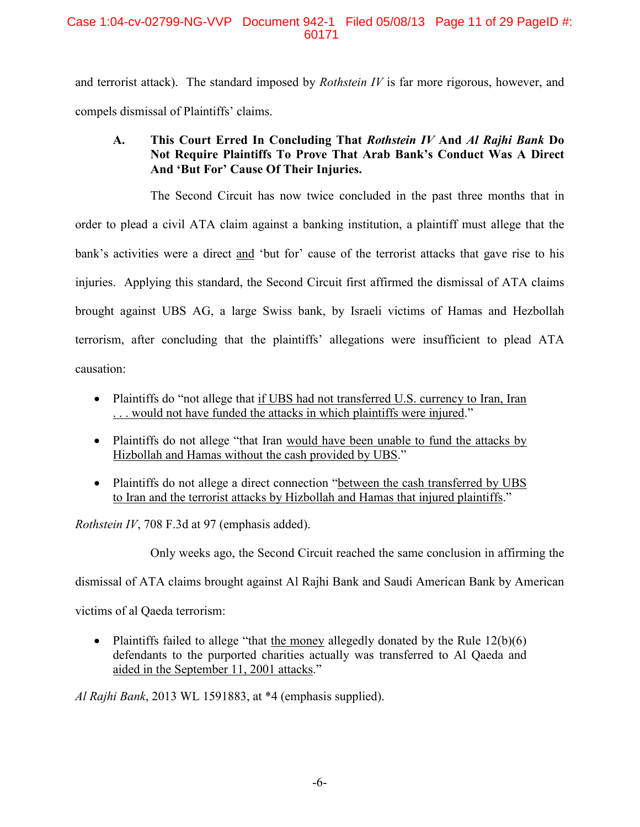and terrorist attack). The standard imposed by *Rothstein IV* is far more rigorous, however, and compels dismissal of Plaintiffs' claims.

# **A. This Court Erred In Concluding That** *Rothstein IV* **And** *Al Rajhi Bank* **Do Not Require Plaintiffs To Prove That Arab Bank's Conduct Was A Direct And 'But For' Cause Of Their Injuries.**

The Second Circuit has now twice concluded in the past three months that in order to plead a civil ATA claim against a banking institution, a plaintiff must allege that the bank's activities were a direct and 'but for' cause of the terrorist attacks that gave rise to his injuries. Applying this standard, the Second Circuit first affirmed the dismissal of ATA claims brought against UBS AG, a large Swiss bank, by Israeli victims of Hamas and Hezbollah terrorism, after concluding that the plaintiffs' allegations were insufficient to plead ATA causation:

• Plaintiffs do "not allege that if UBS had not transferred U.S. currency to Iran, Iran . . . would not have funded the attacks in which plaintiffs were injured."

- Plaintiffs do not allege "that Iran would have been unable to fund the attacks by Hizbollah and Hamas without the cash provided by UBS."
- Plaintiffs do not allege a direct connection "between the cash transferred by UBS" to Iran and the terrorist attacks by Hizbollah and Hamas that injured plaintiffs."

*Rothstein IV*, 708 F.3d at 97 (emphasis added).

Only weeks ago, the Second Circuit reached the same conclusion in affirming the

dismissal of ATA claims brought against Al Rajhi Bank and Saudi American Bank by American

victims of al Qaeda terrorism:

• Plaintiffs failed to allege "that the money allegedly donated by the Rule  $12(b)(6)$ defendants to the purported charities actually was transferred to Al Qaeda and aided in the September 11, 2001 attacks."

*Al Rajhi Bank*, 2013 WL 1591883, at \*4 (emphasis supplied).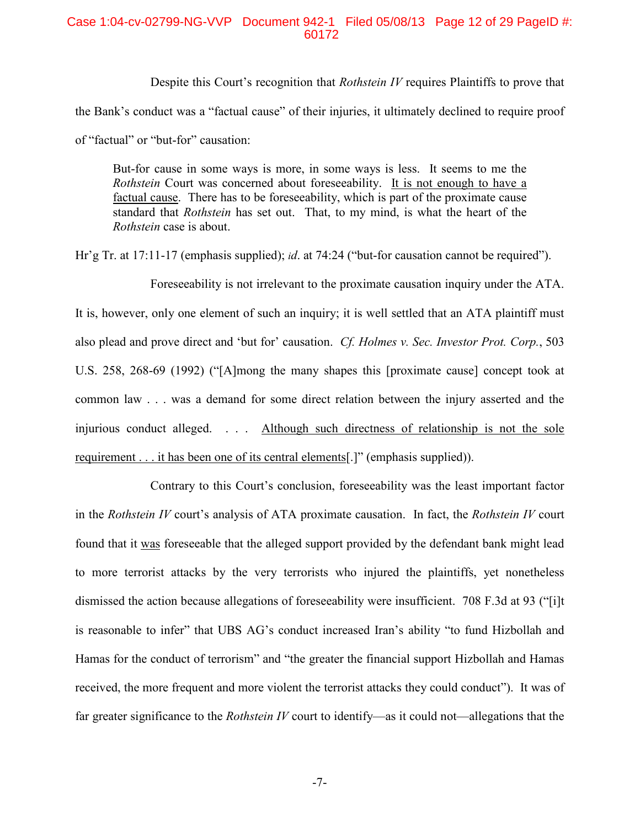### Case 1:04-cv-02799-NG-VVP Document 942-1 Filed 05/08/13 Page 12 of 29 PageID #: 60172

Despite this Court's recognition that *Rothstein IV* requires Plaintiffs to prove that the Bank's conduct was a "factual cause" of their injuries, it ultimately declined to require proof of "factual" or "but-for" causation:

But-for cause in some ways is more, in some ways is less. It seems to me the *Rothstein* Court was concerned about foreseeability. It is not enough to have a factual cause. There has to be foreseeability, which is part of the proximate cause standard that *Rothstein* has set out. That, to my mind, is what the heart of the *Rothstein* case is about.

Hr'g Tr. at 17:11-17 (emphasis supplied); *id*. at 74:24 ("but-for causation cannot be required").

Foreseeability is not irrelevant to the proximate causation inquiry under the ATA. It is, however, only one element of such an inquiry; it is well settled that an ATA plaintiff must also plead and prove direct and 'but for' causation. *Cf. Holmes v. Sec. Investor Prot. Corp.*, 503 U.S. 258, 268-69 (1992) ("[A]mong the many shapes this [proximate cause] concept took at common law . . . was a demand for some direct relation between the injury asserted and the injurious conduct alleged. . . . Although such directness of relationship is not the sole requirement . . . it has been one of its central elements[.]" (emphasis supplied)).

Contrary to this Court's conclusion, foreseeability was the least important factor in the *Rothstein IV* court's analysis of ATA proximate causation. In fact, the *Rothstein IV* court found that it was foreseeable that the alleged support provided by the defendant bank might lead to more terrorist attacks by the very terrorists who injured the plaintiffs, yet nonetheless dismissed the action because allegations of foreseeability were insufficient. 708 F.3d at 93 ("[i]t is reasonable to infer" that UBS AG's conduct increased Iran's ability "to fund Hizbollah and Hamas for the conduct of terrorism" and "the greater the financial support Hizbollah and Hamas received, the more frequent and more violent the terrorist attacks they could conduct"). It was of far greater significance to the *Rothstein IV* court to identify—as it could not—allegations that the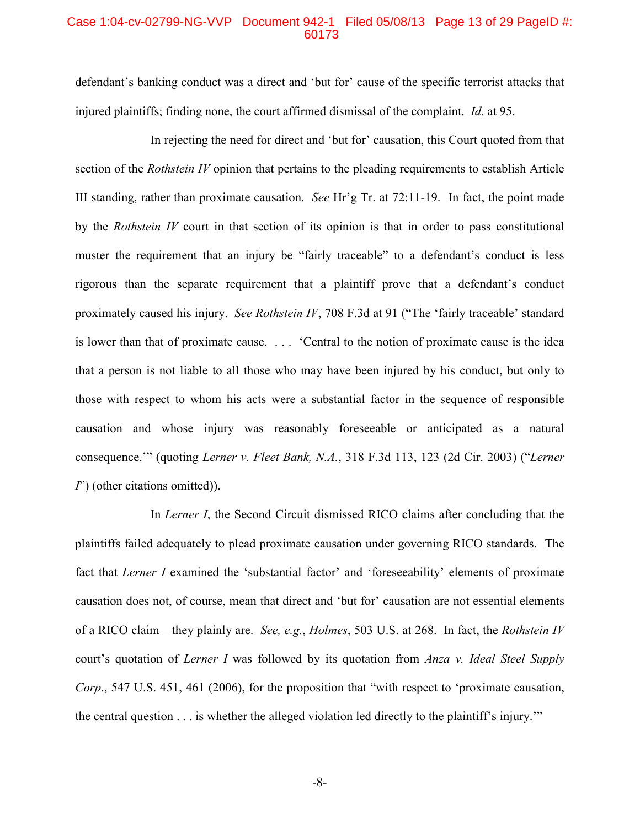### Case 1:04-cv-02799-NG-VVP Document 942-1 Filed 05/08/13 Page 13 of 29 PageID #: 60173

defendant's banking conduct was a direct and 'but for' cause of the specific terrorist attacks that injured plaintiffs; finding none, the court affirmed dismissal of the complaint. *Id.* at 95.

In rejecting the need for direct and 'but for' causation, this Court quoted from that section of the *Rothstein IV* opinion that pertains to the pleading requirements to establish Article III standing, rather than proximate causation. *See* Hr'g Tr. at 72:11-19. In fact, the point made by the *Rothstein IV* court in that section of its opinion is that in order to pass constitutional muster the requirement that an injury be "fairly traceable" to a defendant's conduct is less rigorous than the separate requirement that a plaintiff prove that a defendant's conduct proximately caused his injury. *See Rothstein IV*, 708 F.3d at 91 ("The 'fairly traceable' standard is lower than that of proximate cause. . . . 'Central to the notion of proximate cause is the idea that a person is not liable to all those who may have been injured by his conduct, but only to those with respect to whom his acts were a substantial factor in the sequence of responsible causation and whose injury was reasonably foreseeable or anticipated as a natural consequence.'" (quoting *Lerner v. Fleet Bank, N.A.*, 318 F.3d 113, 123 (2d Cir. 2003) ("*Lerner I*") (other citations omitted)).

In *Lerner I*, the Second Circuit dismissed RICO claims after concluding that the plaintiffs failed adequately to plead proximate causation under governing RICO standards. The fact that *Lerner I* examined the 'substantial factor' and 'foreseeability' elements of proximate causation does not, of course, mean that direct and 'but for' causation are not essential elements of a RICO claim—they plainly are. *See, e.g.*, *Holmes*, 503 U.S. at 268. In fact, the *Rothstein IV* court's quotation of *Lerner I* was followed by its quotation from *Anza v. Ideal Steel Supply Corp*., 547 U.S. 451, 461 (2006), for the proposition that "with respect to 'proximate causation, the central question . . . is whether the alleged violation led directly to the plaintiff's injury.'"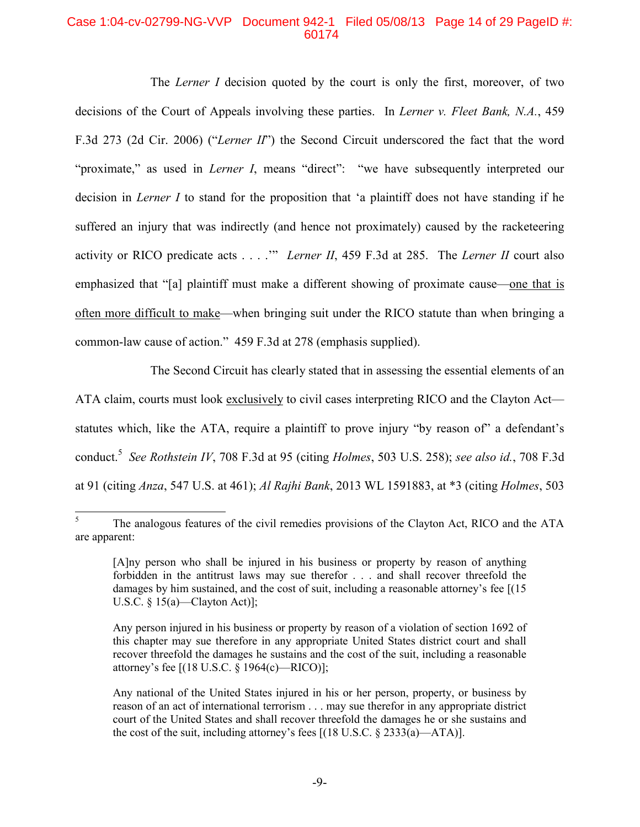### Case 1:04-cv-02799-NG-VVP Document 942-1 Filed 05/08/13 Page 14 of 29 PageID #: 60174

The *Lerner I* decision quoted by the court is only the first, moreover, of two decisions of the Court of Appeals involving these parties. In *Lerner v. Fleet Bank, N.A.*, 459 F.3d 273 (2d Cir. 2006) ("*Lerner II*") the Second Circuit underscored the fact that the word "proximate," as used in *Lerner I*, means "direct": "we have subsequently interpreted our decision in *Lerner I* to stand for the proposition that 'a plaintiff does not have standing if he suffered an injury that was indirectly (and hence not proximately) caused by the racketeering activity or RICO predicate acts . . . .'" *Lerner II*, 459 F.3d at 285. The *Lerner II* court also emphasized that "[a] plaintiff must make a different showing of proximate cause—one that is often more difficult to make—when bringing suit under the RICO statute than when bringing a common-law cause of action." 459 F.3d at 278 (emphasis supplied).

The Second Circuit has clearly stated that in assessing the essential elements of an ATA claim, courts must look exclusively to civil cases interpreting RICO and the Clayton Act statutes which, like the ATA, require a plaintiff to prove injury "by reason of" a defendant's conduct.<sup>5</sup> *See Rothstein IV*, 708 F.3d at 95 (citing *Holmes*, 503 U.S. 258); *see also id.*, 708 F.3d at 91 (citing *Anza*, 547 U.S. at 461); *Al Rajhi Bank*, 2013 WL 1591883, at \*3 (citing *Holmes*, 503

<sup>&</sup>lt;sup>5</sup> The analogous features of the civil remedies provisions of the Clayton Act, RICO and the ATA are apparent:

<sup>[</sup>A]ny person who shall be injured in his business or property by reason of anything forbidden in the antitrust laws may sue therefor . . . and shall recover threefold the damages by him sustained, and the cost of suit, including a reasonable attorney's fee [(15)] U.S.C.  $\S$  15(a)—Clayton Act)];

Any person injured in his business or property by reason of a violation of section 1692 of this chapter may sue therefore in any appropriate United States district court and shall recover threefold the damages he sustains and the cost of the suit, including a reasonable attorney's fee [(18 U.S.C. § 1964(c)—RICO)];

Any national of the United States injured in his or her person, property, or business by reason of an act of international terrorism . . . may sue therefor in any appropriate district court of the United States and shall recover threefold the damages he or she sustains and the cost of the suit, including attorney's fees  $[(18 \text{ U.S.C.} \S 2333(a) - ATA)].$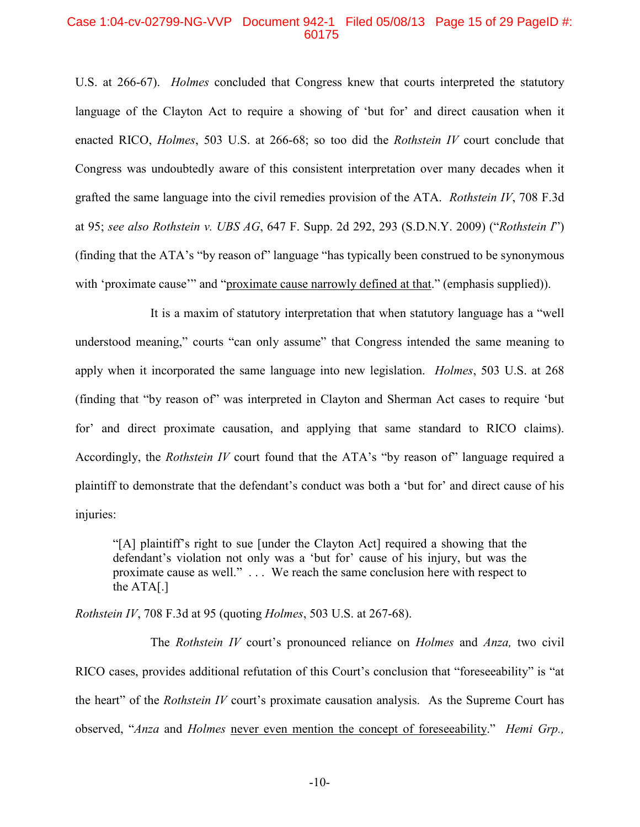#### Case 1:04-cv-02799-NG-VVP Document 942-1 Filed 05/08/13 Page 15 of 29 PageID #: 60175

U.S. at 266-67). *Holmes* concluded that Congress knew that courts interpreted the statutory language of the Clayton Act to require a showing of 'but for' and direct causation when it enacted RICO, *Holmes*, 503 U.S. at 266-68; so too did the *Rothstein IV* court conclude that Congress was undoubtedly aware of this consistent interpretation over many decades when it grafted the same language into the civil remedies provision of the ATA. *Rothstein IV*, 708 F.3d at 95; *see also Rothstein v. UBS AG*, 647 F. Supp. 2d 292, 293 (S.D.N.Y. 2009) ("*Rothstein I*") (finding that the ATA's "by reason of" language "has typically been construed to be synonymous with 'proximate cause'" and "proximate cause narrowly defined at that." (emphasis supplied)).

It is a maxim of statutory interpretation that when statutory language has a "well understood meaning," courts "can only assume" that Congress intended the same meaning to apply when it incorporated the same language into new legislation. *Holmes*, 503 U.S. at 268 (finding that "by reason of" was interpreted in Clayton and Sherman Act cases to require 'but for' and direct proximate causation, and applying that same standard to RICO claims). Accordingly, the *Rothstein IV* court found that the ATA's "by reason of" language required a plaintiff to demonstrate that the defendant's conduct was both a 'but for' and direct cause of his injuries:

"[A] plaintiff's right to sue [under the Clayton Act] required a showing that the defendant's violation not only was a 'but for' cause of his injury, but was the proximate cause as well." . . . We reach the same conclusion here with respect to the ATA[.]

*Rothstein IV*, 708 F.3d at 95 (quoting *Holmes*, 503 U.S. at 267-68).

The *Rothstein IV* court's pronounced reliance on *Holmes* and *Anza,* two civil RICO cases, provides additional refutation of this Court's conclusion that "foreseeability" is "at the heart" of the *Rothstein IV* court's proximate causation analysis. As the Supreme Court has observed, "*Anza* and *Holmes* never even mention the concept of foreseeability." *Hemi Grp.,*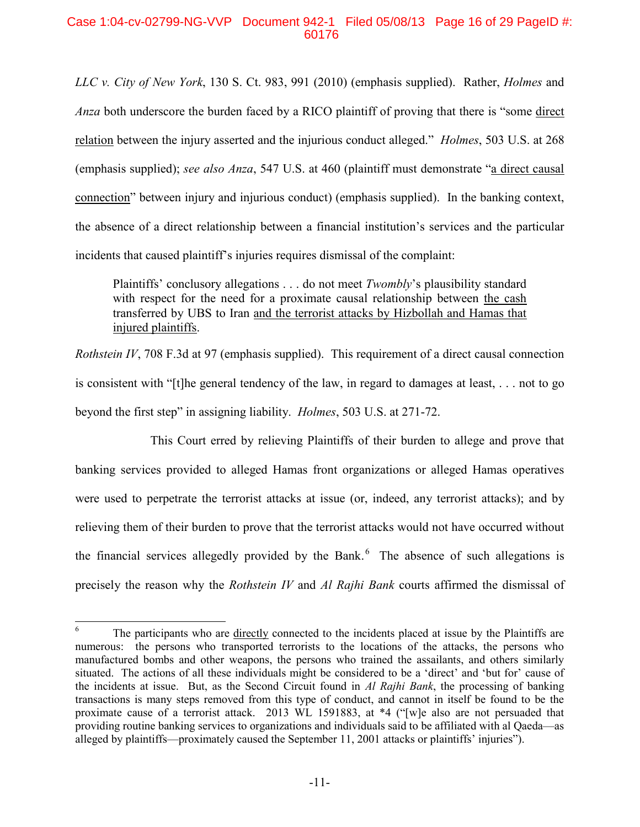### Case 1:04-cv-02799-NG-VVP Document 942-1 Filed 05/08/13 Page 16 of 29 PageID #: 60176

*LLC v. City of New York*, 130 S. Ct. 983, 991 (2010) (emphasis supplied). Rather, *Holmes* and *Anza* both underscore the burden faced by a RICO plaintiff of proving that there is "some direct relation between the injury asserted and the injurious conduct alleged." *Holmes*, 503 U.S. at 268 (emphasis supplied); *see also Anza*, 547 U.S. at 460 (plaintiff must demonstrate "a direct causal connection" between injury and injurious conduct) (emphasis supplied). In the banking context, the absence of a direct relationship between a financial institution's services and the particular incidents that caused plaintiff's injuries requires dismissal of the complaint:

Plaintiffs' conclusory allegations . . . do not meet *Twombly*'s plausibility standard with respect for the need for a proximate causal relationship between the cash transferred by UBS to Iran and the terrorist attacks by Hizbollah and Hamas that injured plaintiffs.

*Rothstein IV*, 708 F.3d at 97 (emphasis supplied). This requirement of a direct causal connection is consistent with "[t]he general tendency of the law, in regard to damages at least, . . . not to go beyond the first step" in assigning liability. *Holmes*, 503 U.S. at 271-72.

This Court erred by relieving Plaintiffs of their burden to allege and prove that banking services provided to alleged Hamas front organizations or alleged Hamas operatives were used to perpetrate the terrorist attacks at issue (or, indeed, any terrorist attacks); and by relieving them of their burden to prove that the terrorist attacks would not have occurred without the financial services allegedly provided by the Bank. $<sup>6</sup>$  The absence of such allegations is</sup> precisely the reason why the *Rothstein IV* and *Al Rajhi Bank* courts affirmed the dismissal of

 $6\degree$  The participants who are directly connected to the incidents placed at issue by the Plaintiffs are numerous: the persons who transported terrorists to the locations of the attacks, the persons who manufactured bombs and other weapons, the persons who trained the assailants, and others similarly situated. The actions of all these individuals might be considered to be a 'direct' and 'but for' cause of the incidents at issue. But, as the Second Circuit found in *Al Rajhi Bank*, the processing of banking transactions is many steps removed from this type of conduct, and cannot in itself be found to be the proximate cause of a terrorist attack. 2013 WL 1591883, at \*4 ("[w]e also are not persuaded that providing routine banking services to organizations and individuals said to be affiliated with al Qaeda—as alleged by plaintiffs—proximately caused the September 11, 2001 attacks or plaintiffs' injuries").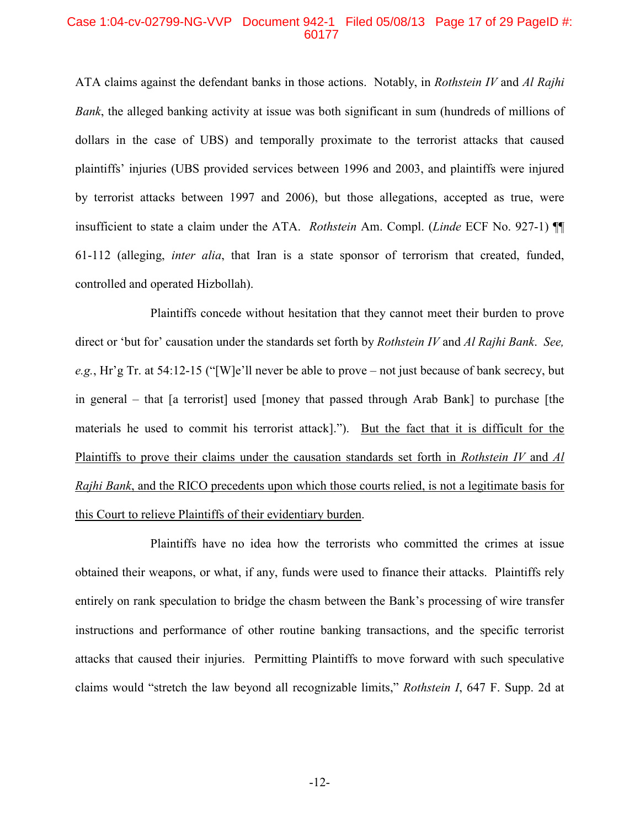### Case 1:04-cv-02799-NG-VVP Document 942-1 Filed 05/08/13 Page 17 of 29 PageID #: 60177

ATA claims against the defendant banks in those actions. Notably, in *Rothstein IV* and *Al Rajhi Bank*, the alleged banking activity at issue was both significant in sum (hundreds of millions of dollars in the case of UBS) and temporally proximate to the terrorist attacks that caused plaintiffs' injuries (UBS provided services between 1996 and 2003, and plaintiffs were injured by terrorist attacks between 1997 and 2006), but those allegations, accepted as true, were insufficient to state a claim under the ATA. *Rothstein* Am. Compl. (*Linde* ECF No. 927-1) ¶¶ 61-112 (alleging, *inter alia*, that Iran is a state sponsor of terrorism that created, funded, controlled and operated Hizbollah).

Plaintiffs concede without hesitation that they cannot meet their burden to prove direct or 'but for' causation under the standards set forth by *Rothstein IV* and *Al Rajhi Bank*. *See, e.g.*, Hr'g Tr. at 54:12-15 ("[W]e'll never be able to prove – not just because of bank secrecy, but in general – that [a terrorist] used [money that passed through Arab Bank] to purchase [the materials he used to commit his terrorist attack]."). But the fact that it is difficult for the Plaintiffs to prove their claims under the causation standards set forth in *Rothstein IV* and *Al Rajhi Bank*, and the RICO precedents upon which those courts relied, is not a legitimate basis for this Court to relieve Plaintiffs of their evidentiary burden.

Plaintiffs have no idea how the terrorists who committed the crimes at issue obtained their weapons, or what, if any, funds were used to finance their attacks. Plaintiffs rely entirely on rank speculation to bridge the chasm between the Bank's processing of wire transfer instructions and performance of other routine banking transactions, and the specific terrorist attacks that caused their injuries. Permitting Plaintiffs to move forward with such speculative claims would "stretch the law beyond all recognizable limits," *Rothstein I*, 647 F. Supp. 2d at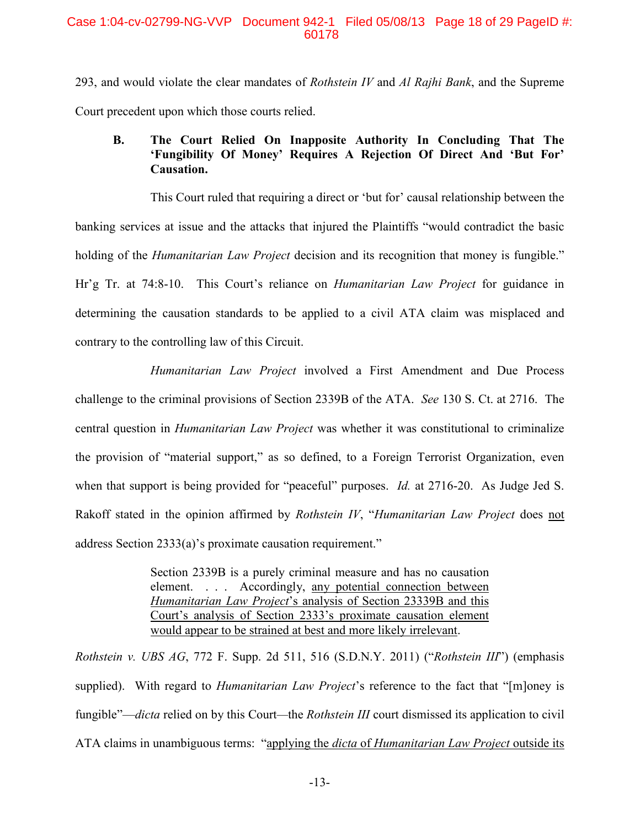293, and would violate the clear mandates of *Rothstein IV* and *Al Rajhi Bank*, and the Supreme Court precedent upon which those courts relied.

## **B. The Court Relied On Inapposite Authority In Concluding That The 'Fungibility Of Money' Requires A Rejection Of Direct And 'But For' Causation.**

This Court ruled that requiring a direct or 'but for' causal relationship between the banking services at issue and the attacks that injured the Plaintiffs "would contradict the basic holding of the *Humanitarian Law Project* decision and its recognition that money is fungible." Hr'g Tr. at 74:8-10. This Court's reliance on *Humanitarian Law Project* for guidance in determining the causation standards to be applied to a civil ATA claim was misplaced and contrary to the controlling law of this Circuit.

*Humanitarian Law Project* involved a First Amendment and Due Process challenge to the criminal provisions of Section 2339B of the ATA. *See* 130 S. Ct. at 2716. The central question in *Humanitarian Law Project* was whether it was constitutional to criminalize the provision of "material support," as so defined, to a Foreign Terrorist Organization, even when that support is being provided for "peaceful" purposes. *Id.* at 2716-20. As Judge Jed S. Rakoff stated in the opinion affirmed by *Rothstein IV*, "*Humanitarian Law Project* does not address Section 2333(a)'s proximate causation requirement."

> Section 2339B is a purely criminal measure and has no causation element. . . . Accordingly, any potential connection between *Humanitarian Law Project*'s analysis of Section 23339B and this Court's analysis of Section 2333's proximate causation element would appear to be strained at best and more likely irrelevant.

*Rothstein v. UBS AG*, 772 F. Supp. 2d 511, 516 (S.D.N.Y. 2011) ("*Rothstein III*") (emphasis supplied). With regard to *Humanitarian Law Project*'s reference to the fact that "[m]oney is fungible"—*dicta* relied on by this Court*—*the *Rothstein III* court dismissed its application to civil ATA claims in unambiguous terms: "applying the *dicta* of *Humanitarian Law Project* outside its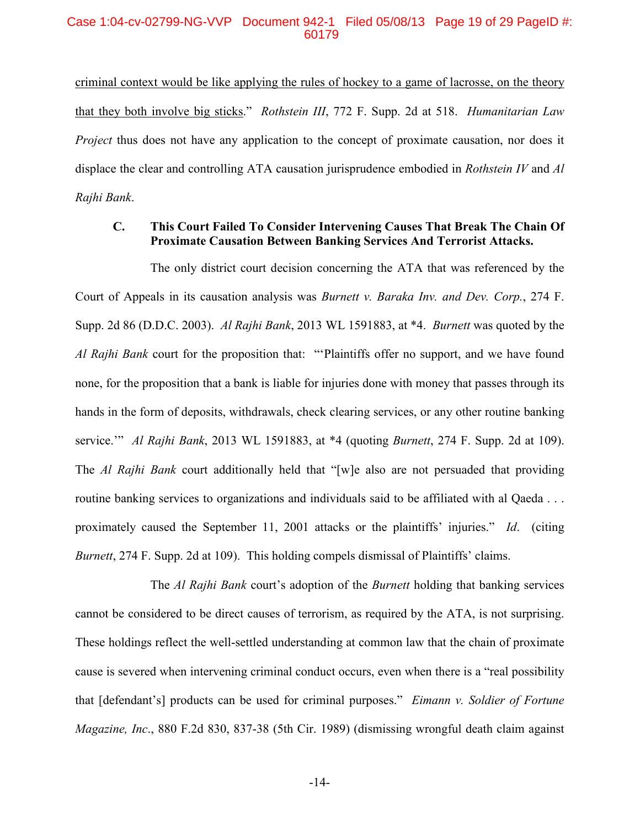### Case 1:04-cv-02799-NG-VVP Document 942-1 Filed 05/08/13 Page 19 of 29 PageID #: 60179

criminal context would be like applying the rules of hockey to a game of lacrosse, on the theory that they both involve big sticks." *Rothstein III*, 772 F. Supp. 2d at 518. *Humanitarian Law Project* thus does not have any application to the concept of proximate causation, nor does it displace the clear and controlling ATA causation jurisprudence embodied in *Rothstein IV* and *Al Rajhi Bank*.

### **C. This Court Failed To Consider Intervening Causes That Break The Chain Of Proximate Causation Between Banking Services And Terrorist Attacks.**

The only district court decision concerning the ATA that was referenced by the Court of Appeals in its causation analysis was *Burnett v. Baraka Inv. and Dev. Corp.*, 274 F. Supp. 2d 86 (D.D.C. 2003). *Al Rajhi Bank*, 2013 WL 1591883, at \*4. *Burnett* was quoted by the *Al Rajhi Bank* court for the proposition that: "'Plaintiffs offer no support, and we have found none, for the proposition that a bank is liable for injuries done with money that passes through its hands in the form of deposits, withdrawals, check clearing services, or any other routine banking service.'" *Al Rajhi Bank*, 2013 WL 1591883, at \*4 (quoting *Burnett*, 274 F. Supp. 2d at 109). The *Al Rajhi Bank* court additionally held that "[w]e also are not persuaded that providing routine banking services to organizations and individuals said to be affiliated with al Qaeda . . . proximately caused the September 11, 2001 attacks or the plaintiffs' injuries." *Id*. (citing *Burnett*, 274 F. Supp. 2d at 109). This holding compels dismissal of Plaintiffs' claims.

The *Al Rajhi Bank* court's adoption of the *Burnett* holding that banking services cannot be considered to be direct causes of terrorism, as required by the ATA, is not surprising. These holdings reflect the well-settled understanding at common law that the chain of proximate cause is severed when intervening criminal conduct occurs, even when there is a "real possibility that [defendant's] products can be used for criminal purposes." *Eimann v. Soldier of Fortune Magazine, Inc*., 880 F.2d 830, 837-38 (5th Cir. 1989) (dismissing wrongful death claim against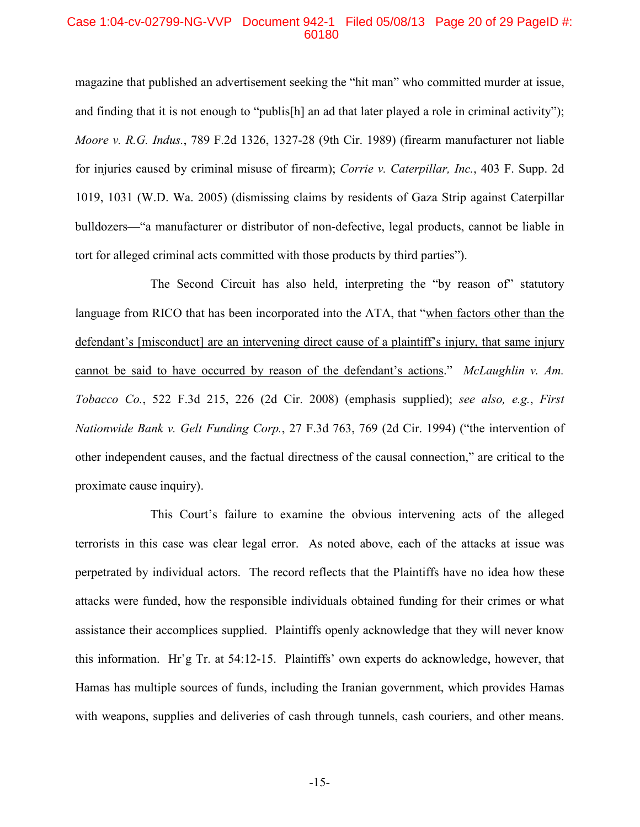### Case 1:04-cv-02799-NG-VVP Document 942-1 Filed 05/08/13 Page 20 of 29 PageID #: 60180

magazine that published an advertisement seeking the "hit man" who committed murder at issue, and finding that it is not enough to "publis[h] an ad that later played a role in criminal activity"); *Moore v. R.G. Indus.*, 789 F.2d 1326, 1327-28 (9th Cir. 1989) (firearm manufacturer not liable for injuries caused by criminal misuse of firearm); *Corrie v. Caterpillar, Inc.*, 403 F. Supp. 2d 1019, 1031 (W.D. Wa. 2005) (dismissing claims by residents of Gaza Strip against Caterpillar bulldozers—"a manufacturer or distributor of non-defective, legal products, cannot be liable in tort for alleged criminal acts committed with those products by third parties").

The Second Circuit has also held, interpreting the "by reason of" statutory language from RICO that has been incorporated into the ATA, that "when factors other than the defendant's [misconduct] are an intervening direct cause of a plaintiff's injury, that same injury cannot be said to have occurred by reason of the defendant's actions." *McLaughlin v. Am. Tobacco Co.*, 522 F.3d 215, 226 (2d Cir. 2008) (emphasis supplied); *see also, e.g.*, *First Nationwide Bank v. Gelt Funding Corp.*, 27 F.3d 763, 769 (2d Cir. 1994) ("the intervention of other independent causes, and the factual directness of the causal connection," are critical to the proximate cause inquiry).

This Court's failure to examine the obvious intervening acts of the alleged terrorists in this case was clear legal error. As noted above, each of the attacks at issue was perpetrated by individual actors. The record reflects that the Plaintiffs have no idea how these attacks were funded, how the responsible individuals obtained funding for their crimes or what assistance their accomplices supplied. Plaintiffs openly acknowledge that they will never know this information. Hr'g Tr. at 54:12-15. Plaintiffs' own experts do acknowledge, however, that Hamas has multiple sources of funds, including the Iranian government, which provides Hamas with weapons, supplies and deliveries of cash through tunnels, cash couriers, and other means.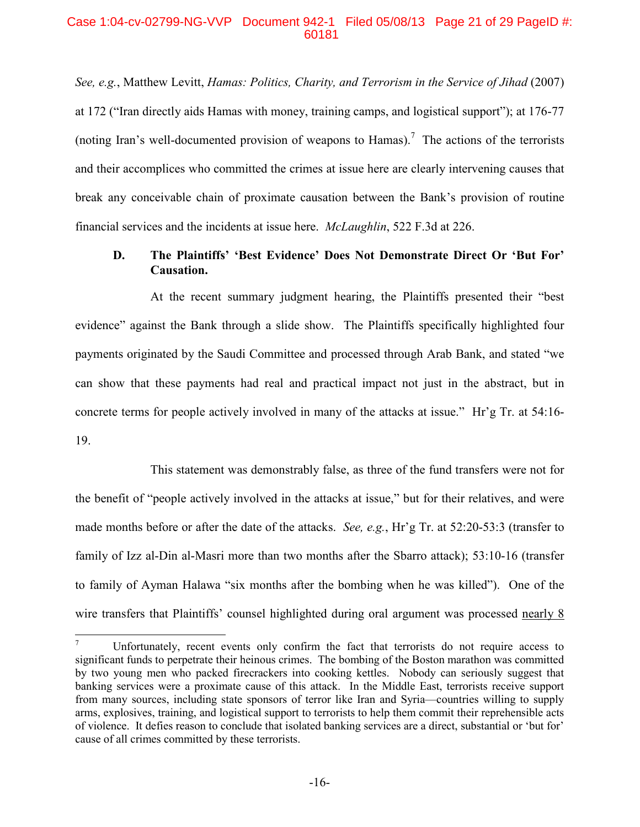### Case 1:04-cv-02799-NG-VVP Document 942-1 Filed 05/08/13 Page 21 of 29 PageID #: 60181

*See, e.g.*, Matthew Levitt, *Hamas: Politics, Charity, and Terrorism in the Service of Jihad* (2007) at 172 ("Iran directly aids Hamas with money, training camps, and logistical support"); at 176-77 (noting Iran's well-documented provision of weapons to Hamas).<sup>7</sup> The actions of the terrorists and their accomplices who committed the crimes at issue here are clearly intervening causes that break any conceivable chain of proximate causation between the Bank's provision of routine financial services and the incidents at issue here. *McLaughlin*, 522 F.3d at 226.

## **D. The Plaintiffs' 'Best Evidence' Does Not Demonstrate Direct Or 'But For' Causation.**

At the recent summary judgment hearing, the Plaintiffs presented their "best evidence" against the Bank through a slide show. The Plaintiffs specifically highlighted four payments originated by the Saudi Committee and processed through Arab Bank, and stated "we can show that these payments had real and practical impact not just in the abstract, but in concrete terms for people actively involved in many of the attacks at issue." Hr'g Tr. at 54:16- 19.

This statement was demonstrably false, as three of the fund transfers were not for the benefit of "people actively involved in the attacks at issue," but for their relatives, and were made months before or after the date of the attacks. *See, e.g.*, Hr'g Tr. at 52:20-53:3 (transfer to family of Izz al-Din al-Masri more than two months after the Sbarro attack); 53:10-16 (transfer to family of Ayman Halawa "six months after the bombing when he was killed"). One of the wire transfers that Plaintiffs' counsel highlighted during oral argument was processed nearly 8

<sup>&</sup>lt;sup>7</sup> Unfortunately, recent events only confirm the fact that terrorists do not require access to significant funds to perpetrate their heinous crimes. The bombing of the Boston marathon was committed by two young men who packed firecrackers into cooking kettles. Nobody can seriously suggest that banking services were a proximate cause of this attack. In the Middle East, terrorists receive support from many sources, including state sponsors of terror like Iran and Syria—countries willing to supply arms, explosives, training, and logistical support to terrorists to help them commit their reprehensible acts of violence. It defies reason to conclude that isolated banking services are a direct, substantial or 'but for' cause of all crimes committed by these terrorists.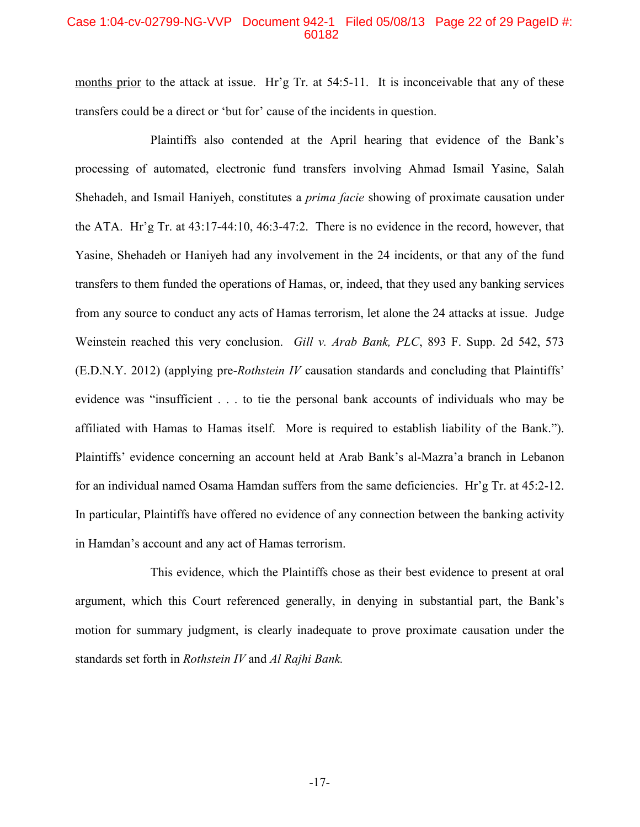### Case 1:04-cv-02799-NG-VVP Document 942-1 Filed 05/08/13 Page 22 of 29 PageID #: 60182

months prior to the attack at issue. Hr'g Tr. at  $54:5-11$ . It is inconceivable that any of these transfers could be a direct or 'but for' cause of the incidents in question.

Plaintiffs also contended at the April hearing that evidence of the Bank's processing of automated, electronic fund transfers involving Ahmad Ismail Yasine, Salah Shehadeh, and Ismail Haniyeh, constitutes a *prima facie* showing of proximate causation under the ATA. Hr'g Tr. at 43:17-44:10, 46:3-47:2. There is no evidence in the record, however, that Yasine, Shehadeh or Haniyeh had any involvement in the 24 incidents, or that any of the fund transfers to them funded the operations of Hamas, or, indeed, that they used any banking services from any source to conduct any acts of Hamas terrorism, let alone the 24 attacks at issue. Judge Weinstein reached this very conclusion. *Gill v. Arab Bank, PLC*, 893 F. Supp. 2d 542, 573 (E.D.N.Y. 2012) (applying pre-*Rothstein IV* causation standards and concluding that Plaintiffs' evidence was "insufficient . . . to tie the personal bank accounts of individuals who may be affiliated with Hamas to Hamas itself. More is required to establish liability of the Bank."). Plaintiffs' evidence concerning an account held at Arab Bank's al-Mazra'a branch in Lebanon for an individual named Osama Hamdan suffers from the same deficiencies. Hr'g Tr. at 45:2-12. In particular, Plaintiffs have offered no evidence of any connection between the banking activity in Hamdan's account and any act of Hamas terrorism.

This evidence, which the Plaintiffs chose as their best evidence to present at oral argument, which this Court referenced generally, in denying in substantial part, the Bank's motion for summary judgment, is clearly inadequate to prove proximate causation under the standards set forth in *Rothstein IV* and *Al Rajhi Bank.*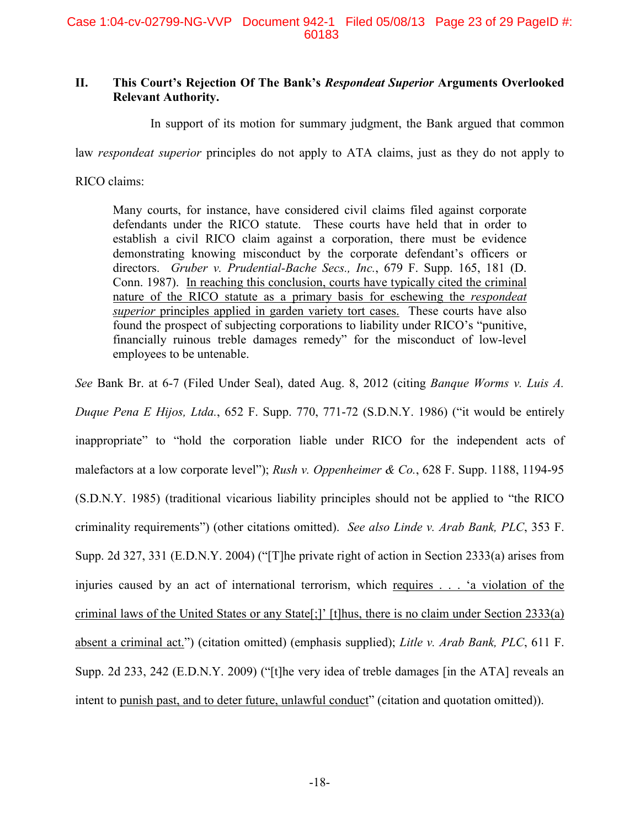## **II. This Court's Rejection Of The Bank's** *Respondeat Superior* **Arguments Overlooked Relevant Authority.**

In support of its motion for summary judgment, the Bank argued that common

law *respondeat superior* principles do not apply to ATA claims, just as they do not apply to

RICO claims:

Many courts, for instance, have considered civil claims filed against corporate defendants under the RICO statute. These courts have held that in order to establish a civil RICO claim against a corporation, there must be evidence demonstrating knowing misconduct by the corporate defendant's officers or directors. *Gruber v. Prudential-Bache Secs., Inc.*, 679 F. Supp. 165, 181 (D. Conn. 1987). In reaching this conclusion, courts have typically cited the criminal nature of the RICO statute as a primary basis for eschewing the *respondeat superior* principles applied in garden variety tort cases. These courts have also found the prospect of subjecting corporations to liability under RICO's "punitive, financially ruinous treble damages remedy" for the misconduct of low-level employees to be untenable.

*See* Bank Br. at 6-7 (Filed Under Seal), dated Aug. 8, 2012 (citing *Banque Worms v. Luis A.*

*Duque Pena E Hijos, Ltda.*, 652 F. Supp. 770, 771-72 (S.D.N.Y. 1986) ("it would be entirely inappropriate" to "hold the corporation liable under RICO for the independent acts of malefactors at a low corporate level"); *Rush v. Oppenheimer & Co.*, 628 F. Supp. 1188, 1194-95 (S.D.N.Y. 1985) (traditional vicarious liability principles should not be applied to "the RICO criminality requirements") (other citations omitted). *See also Linde v. Arab Bank, PLC*, 353 F. Supp. 2d 327, 331 (E.D.N.Y. 2004) ("[T]he private right of action in Section 2333(a) arises from injuries caused by an act of international terrorism, which requires . . . 'a violation of the criminal laws of the United States or any State[;]' [t]hus, there is no claim under Section 2333(a) absent a criminal act.") (citation omitted) (emphasis supplied); *Litle v. Arab Bank, PLC*, 611 F. Supp. 2d 233, 242 (E.D.N.Y. 2009) ("[t]he very idea of treble damages [in the ATA] reveals an intent to punish past, and to deter future, unlawful conduct" (citation and quotation omitted)).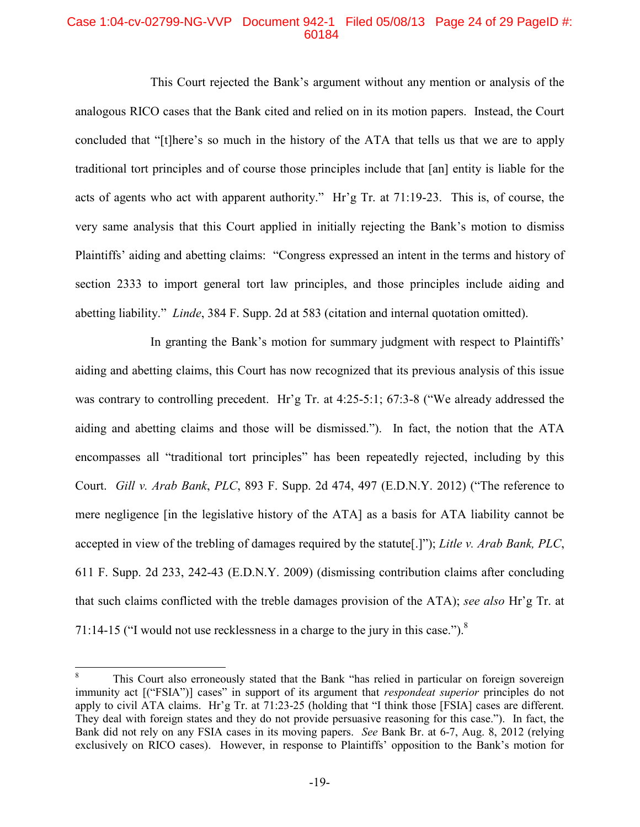### Case 1:04-cv-02799-NG-VVP Document 942-1 Filed 05/08/13 Page 24 of 29 PageID #: 60184

This Court rejected the Bank's argument without any mention or analysis of the analogous RICO cases that the Bank cited and relied on in its motion papers. Instead, the Court concluded that "[t]here's so much in the history of the ATA that tells us that we are to apply traditional tort principles and of course those principles include that [an] entity is liable for the acts of agents who act with apparent authority." Hr'g Tr. at 71:19-23. This is, of course, the very same analysis that this Court applied in initially rejecting the Bank's motion to dismiss Plaintiffs' aiding and abetting claims: "Congress expressed an intent in the terms and history of section 2333 to import general tort law principles, and those principles include aiding and abetting liability." *Linde*, 384 F. Supp. 2d at 583 (citation and internal quotation omitted).

In granting the Bank's motion for summary judgment with respect to Plaintiffs' aiding and abetting claims, this Court has now recognized that its previous analysis of this issue was contrary to controlling precedent. Hr'g Tr. at 4:25-5:1; 67:3-8 ("We already addressed the aiding and abetting claims and those will be dismissed."). In fact, the notion that the ATA encompasses all "traditional tort principles" has been repeatedly rejected, including by this Court. *Gill v. Arab Bank*, *PLC*, 893 F. Supp. 2d 474, 497 (E.D.N.Y. 2012) ("The reference to mere negligence [in the legislative history of the ATA] as a basis for ATA liability cannot be accepted in view of the trebling of damages required by the statute[.]"); *Litle v. Arab Bank, PLC*, 611 F. Supp. 2d 233, 242-43 (E.D.N.Y. 2009) (dismissing contribution claims after concluding that such claims conflicted with the treble damages provision of the ATA); *see also* Hr'g Tr. at 71:14-15 ("I would not use recklessness in a charge to the jury in this case.").<sup>8</sup>

<sup>&</sup>lt;sup>8</sup> This Court also erroneously stated that the Bank "has relied in particular on foreign sovereign immunity act [("FSIA")] cases" in support of its argument that *respondeat superior* principles do not apply to civil ATA claims. Hr'g Tr. at 71:23-25 (holding that "I think those [FSIA] cases are different. They deal with foreign states and they do not provide persuasive reasoning for this case."). In fact, the Bank did not rely on any FSIA cases in its moving papers. *See* Bank Br. at 6-7, Aug. 8, 2012 (relying exclusively on RICO cases). However, in response to Plaintiffs' opposition to the Bank's motion for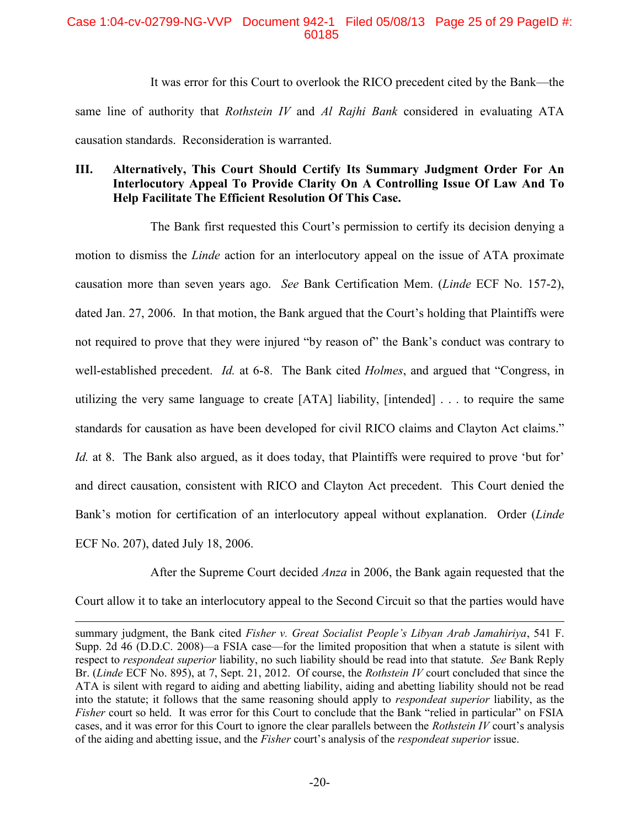### Case 1:04-cv-02799-NG-VVP Document 942-1 Filed 05/08/13 Page 25 of 29 PageID #: 60185

It was error for this Court to overlook the RICO precedent cited by the Bank—the same line of authority that *Rothstein IV* and *Al Rajhi Bank* considered in evaluating ATA causation standards. Reconsideration is warranted.

## **III. Alternatively, This Court Should Certify Its Summary Judgment Order For An Interlocutory Appeal To Provide Clarity On A Controlling Issue Of Law And To Help Facilitate The Efficient Resolution Of This Case.**

The Bank first requested this Court's permission to certify its decision denying a motion to dismiss the *Linde* action for an interlocutory appeal on the issue of ATA proximate causation more than seven years ago. *See* Bank Certification Mem. (*Linde* ECF No. 157-2), dated Jan. 27, 2006. In that motion, the Bank argued that the Court's holding that Plaintiffs were not required to prove that they were injured "by reason of" the Bank's conduct was contrary to well-established precedent. *Id.* at 6-8. The Bank cited *Holmes*, and argued that "Congress, in utilizing the very same language to create [ATA] liability, [intended] . . . to require the same standards for causation as have been developed for civil RICO claims and Clayton Act claims." *Id.* at 8. The Bank also argued, as it does today, that Plaintiffs were required to prove 'but for' and direct causation, consistent with RICO and Clayton Act precedent. This Court denied the Bank's motion for certification of an interlocutory appeal without explanation. Order (*Linde* ECF No. 207), dated July 18, 2006.

After the Supreme Court decided *Anza* in 2006, the Bank again requested that the Court allow it to take an interlocutory appeal to the Second Circuit so that the parties would have

summary judgment, the Bank cited *Fisher v. Great Socialist People's Libyan Arab Jamahiriya*, 541 F. Supp. 2d 46 (D.D.C. 2008)*—*a FSIA case—for the limited proposition that when a statute is silent with respect to *respondeat superior* liability, no such liability should be read into that statute. *See* Bank Reply Br. (*Linde* ECF No. 895), at 7, Sept. 21, 2012. Of course, the *Rothstein IV* court concluded that since the ATA is silent with regard to aiding and abetting liability, aiding and abetting liability should not be read into the statute; it follows that the same reasoning should apply to *respondeat superior* liability, as the *Fisher* court so held. It was error for this Court to conclude that the Bank "relied in particular" on FSIA cases, and it was error for this Court to ignore the clear parallels between the *Rothstein IV* court's analysis of the aiding and abetting issue, and the *Fisher* court's analysis of the *respondeat superior* issue.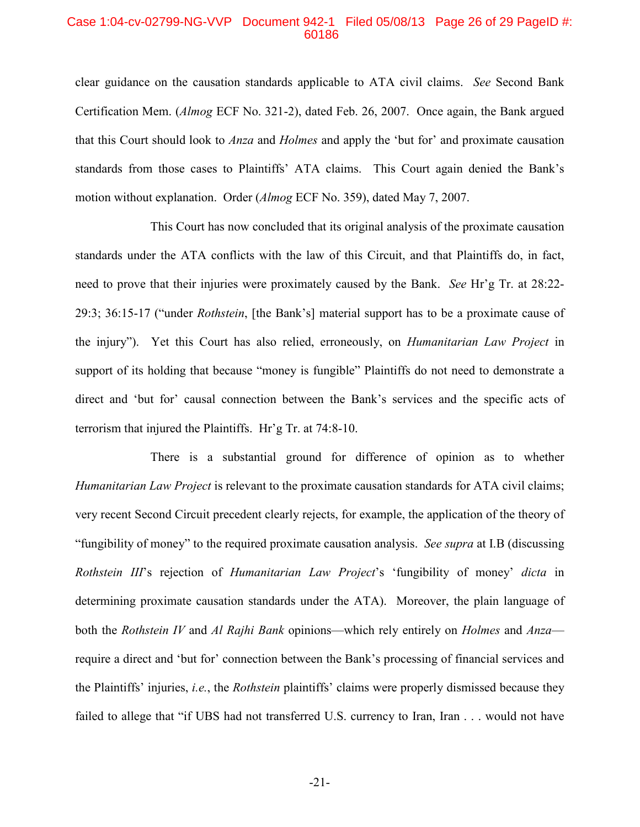### Case 1:04-cv-02799-NG-VVP Document 942-1 Filed 05/08/13 Page 26 of 29 PageID #: 60186

clear guidance on the causation standards applicable to ATA civil claims. *See* Second Bank Certification Mem. (*Almog* ECF No. 321-2), dated Feb. 26, 2007. Once again, the Bank argued that this Court should look to *Anza* and *Holmes* and apply the 'but for' and proximate causation standards from those cases to Plaintiffs' ATA claims. This Court again denied the Bank's motion without explanation. Order (*Almog* ECF No. 359), dated May 7, 2007.

This Court has now concluded that its original analysis of the proximate causation standards under the ATA conflicts with the law of this Circuit, and that Plaintiffs do, in fact, need to prove that their injuries were proximately caused by the Bank. *See* Hr'g Tr. at 28:22- 29:3; 36:15-17 ("under *Rothstein*, [the Bank's] material support has to be a proximate cause of the injury"). Yet this Court has also relied, erroneously, on *Humanitarian Law Project* in support of its holding that because "money is fungible" Plaintiffs do not need to demonstrate a direct and 'but for' causal connection between the Bank's services and the specific acts of terrorism that injured the Plaintiffs. Hr'g Tr. at 74:8-10.

There is a substantial ground for difference of opinion as to whether *Humanitarian Law Project* is relevant to the proximate causation standards for ATA civil claims; very recent Second Circuit precedent clearly rejects, for example, the application of the theory of "fungibility of money" to the required proximate causation analysis. *See supra* at I.B (discussing *Rothstein III*'s rejection of *Humanitarian Law Project*'s 'fungibility of money' *dicta* in determining proximate causation standards under the ATA). Moreover, the plain language of both the *Rothstein IV* and *Al Rajhi Bank* opinions—which rely entirely on *Holmes* and *Anza* require a direct and 'but for' connection between the Bank's processing of financial services and the Plaintiffs' injuries, *i.e.*, the *Rothstein* plaintiffs' claims were properly dismissed because they failed to allege that "if UBS had not transferred U.S. currency to Iran, Iran . . . would not have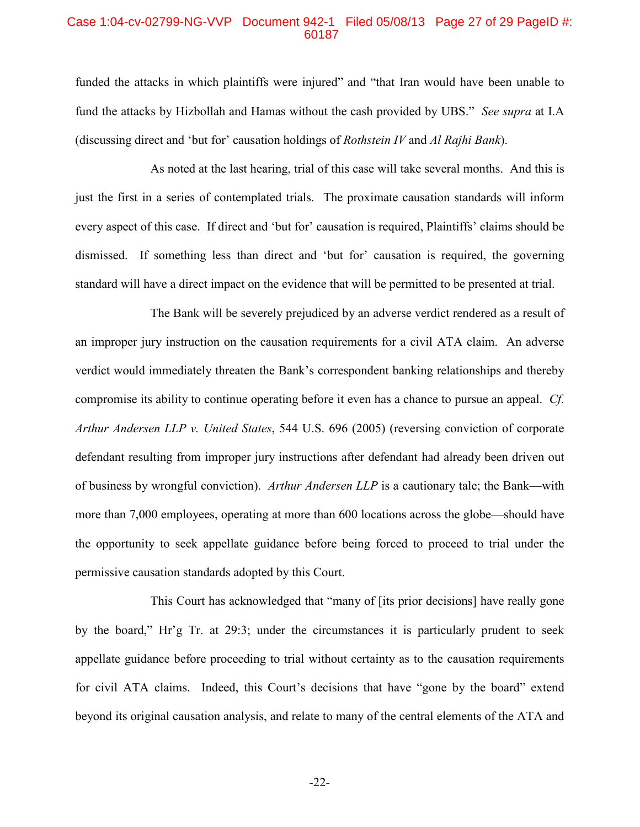### Case 1:04-cv-02799-NG-VVP Document 942-1 Filed 05/08/13 Page 27 of 29 PageID #: 60187

funded the attacks in which plaintiffs were injured" and "that Iran would have been unable to fund the attacks by Hizbollah and Hamas without the cash provided by UBS." *See supra* at I.A (discussing direct and 'but for' causation holdings of *Rothstein IV* and *Al Rajhi Bank*).

As noted at the last hearing, trial of this case will take several months. And this is just the first in a series of contemplated trials. The proximate causation standards will inform every aspect of this case. If direct and 'but for' causation is required, Plaintiffs' claims should be dismissed. If something less than direct and 'but for' causation is required, the governing standard will have a direct impact on the evidence that will be permitted to be presented at trial.

The Bank will be severely prejudiced by an adverse verdict rendered as a result of an improper jury instruction on the causation requirements for a civil ATA claim. An adverse verdict would immediately threaten the Bank's correspondent banking relationships and thereby compromise its ability to continue operating before it even has a chance to pursue an appeal. *Cf. Arthur Andersen LLP v. United States*, 544 U.S. 696 (2005) (reversing conviction of corporate defendant resulting from improper jury instructions after defendant had already been driven out of business by wrongful conviction). *Arthur Andersen LLP* is a cautionary tale; the Bank—with more than 7,000 employees, operating at more than 600 locations across the globe—should have the opportunity to seek appellate guidance before being forced to proceed to trial under the permissive causation standards adopted by this Court.

This Court has acknowledged that "many of [its prior decisions] have really gone by the board," Hr'g Tr. at 29:3; under the circumstances it is particularly prudent to seek appellate guidance before proceeding to trial without certainty as to the causation requirements for civil ATA claims. Indeed, this Court's decisions that have "gone by the board" extend beyond its original causation analysis, and relate to many of the central elements of the ATA and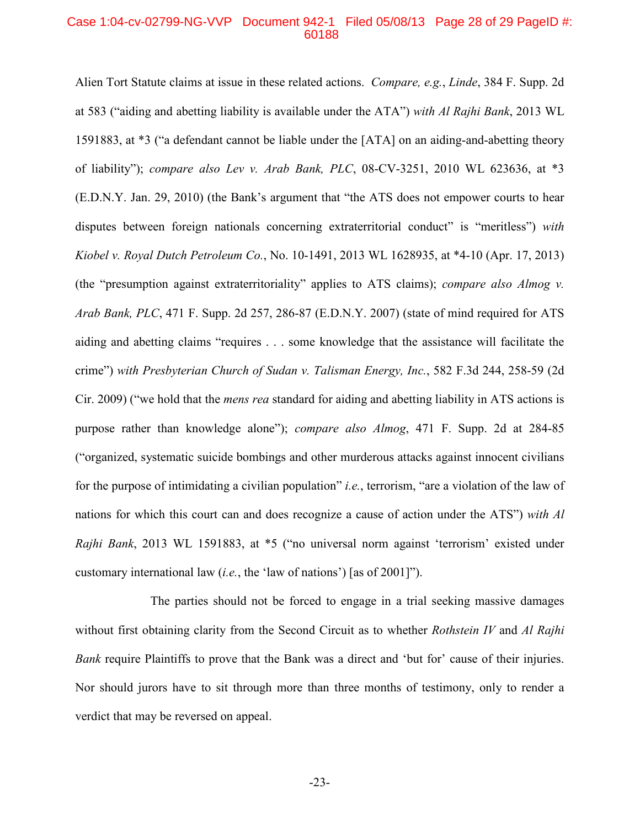#### Case 1:04-cv-02799-NG-VVP Document 942-1 Filed 05/08/13 Page 28 of 29 PageID #: 60188

Alien Tort Statute claims at issue in these related actions. *Compare, e.g.*, *Linde*, 384 F. Supp. 2d at 583 ("aiding and abetting liability is available under the ATA") *with Al Rajhi Bank*, 2013 WL 1591883, at \*3 ("a defendant cannot be liable under the [ATA] on an aiding-and-abetting theory of liability"); *compare also Lev v. Arab Bank, PLC*, 08-CV-3251, 2010 WL 623636, at \*3 (E.D.N.Y. Jan. 29, 2010) (the Bank's argument that "the ATS does not empower courts to hear disputes between foreign nationals concerning extraterritorial conduct" is "meritless") *with Kiobel v. Royal Dutch Petroleum Co.*, No. 10-1491, 2013 WL 1628935, at \*4-10 (Apr. 17, 2013) (the "presumption against extraterritoriality" applies to ATS claims); *compare also Almog v. Arab Bank, PLC*, 471 F. Supp. 2d 257, 286-87 (E.D.N.Y. 2007) (state of mind required for ATS aiding and abetting claims "requires . . . some knowledge that the assistance will facilitate the crime") *with Presbyterian Church of Sudan v. Talisman Energy, Inc.*, 582 F.3d 244, 258-59 (2d Cir. 2009) ("we hold that the *mens rea* standard for aiding and abetting liability in ATS actions is purpose rather than knowledge alone"); *compare also Almog*, 471 F. Supp. 2d at 284-85 ("organized, systematic suicide bombings and other murderous attacks against innocent civilians for the purpose of intimidating a civilian population" *i.e.*, terrorism, "are a violation of the law of nations for which this court can and does recognize a cause of action under the ATS") *with Al Rajhi Bank*, 2013 WL 1591883, at \*5 ("no universal norm against 'terrorism' existed under customary international law (*i.e.*, the 'law of nations') [as of 2001]").

The parties should not be forced to engage in a trial seeking massive damages without first obtaining clarity from the Second Circuit as to whether *Rothstein IV* and *Al Rajhi Bank* require Plaintiffs to prove that the Bank was a direct and 'but for' cause of their injuries. Nor should jurors have to sit through more than three months of testimony, only to render a verdict that may be reversed on appeal.